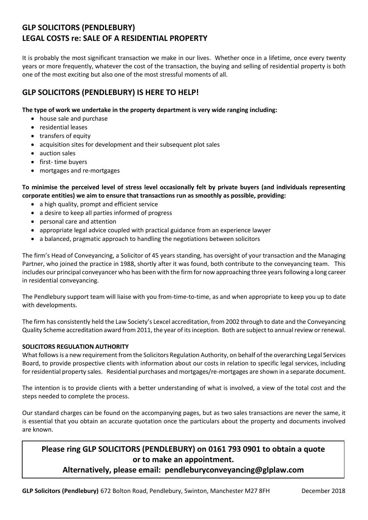# **GLP SOLICITORS (PENDLEBURY) LEGAL COSTS re: SALE OF A RESIDENTIAL PROPERTY**

It is probably the most significant transaction we make in our lives. Whether once in a lifetime, once every twenty years or more frequently, whatever the cost of the transaction, the buying and selling of residential property is both one of the most exciting but also one of the most stressful moments of all.

## **GLP SOLICITORS (PENDLEBURY) IS HERE TO HELP!**

### **The type of work we undertake in the property department is very wide ranging including:**

- house sale and purchase
- residential leases
- transfers of equity
- acquisition sites for development and their subsequent plot sales
- auction sales
- first- time buyers
- mortgages and re-mortgages

**To minimise the perceived level of stress level occasionally felt by private buyers (and individuals representing corporate entities) we aim to ensure that transactions run as smoothly as possible, providing:**

- a high quality, prompt and efficient service
- a desire to keep all parties informed of progress
- personal care and attention
- appropriate legal advice coupled with practical guidance from an experience lawyer
- a balanced, pragmatic approach to handling the negotiations between solicitors

The firm's Head of Conveyancing, a Solicitor of 45 years standing, has oversight of your transaction and the Managing Partner, who joined the practice in 1988, shortly after it was found, both contribute to the conveyancing team. This includes our principal conveyancer who has been with the firm for now approaching three years following a long career in residential conveyancing.

The Pendlebury support team will liaise with you from-time-to-time, as and when appropriate to keep you up to date with developments.

The firm has consistently held the Law Society's Lexcel accreditation, from 2002 through to date and the Conveyancing Quality Scheme accreditation award from 2011, the year of its inception. Both are subject to annual review or renewal.

## **SOLICITORS REGULATION AUTHORITY**

What follows is a new requirement from the Solicitors Regulation Authority, on behalf of the overarching Legal Services Board, to provide prospective clients with information about our costs in relation to specific legal services, including for residential property sales. Residential purchases and mortgages/re-mortgages are shown in a separate document.

The intention is to provide clients with a better understanding of what is involved, a view of the total cost and the steps needed to complete the process.

Our standard charges can be found on the accompanying pages, but as two sales transactions are never the same, it is essential that you obtain an accurate quotation once the particulars about the property and documents involved are known.

## **Please ring GLP SOLICITORS (PENDLEBURY) on 0161 793 0901 to obtain a quote or to make an appointment.**

## **Alternatively, please email: pendleburyconveyancing@glplaw.com**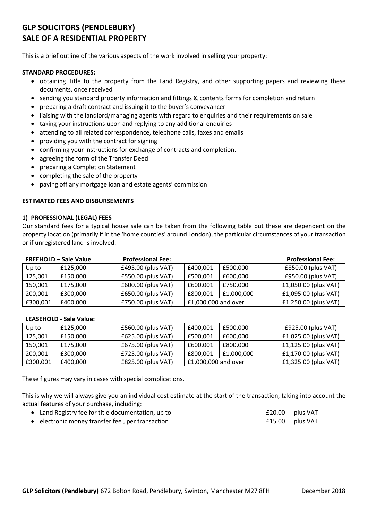# **GLP SOLICITORS (PENDLEBURY) SALE OF A RESIDENTIAL PROPERTY**

This is a brief outline of the various aspects of the work involved in selling your property:

#### **STANDARD PROCEDURES:**

- obtaining Title to the property from the Land Registry, and other supporting papers and reviewing these documents, once received
- sending you standard property information and fittings & contents forms for completion and return
- preparing a draft contract and issuing it to the buyer's conveyancer
- liaising with the landlord/managing agents with regard to enquiries and their requirements on sale
- taking your instructions upon and replying to any additional enquiries
- attending to all related correspondence, telephone calls, faxes and emails
- providing you with the contract for signing
- confirming your instructions for exchange of contracts and completion.
- agreeing the form of the Transfer Deed
- preparing a Completion Statement
- completing the sale of the property
- paying off any mortgage loan and estate agents' commission

#### **ESTIMATED FEES AND DISBURSEMENTS**

#### **1) PROFESSIONAL (LEGAL) FEES**

Our standard fees for a typical house sale can be taken from the following table but these are dependent on the property location (primarily if in the 'home counties' around London), the particular circumstances of your transaction or if unregistered land is involved.

| <b>FREEHOLD - Sale Value</b> |          | <b>Professional Fee:</b> |                     |            | <b>Professional Fee:</b> |  |
|------------------------------|----------|--------------------------|---------------------|------------|--------------------------|--|
| Up to                        | £125.000 | £495.00 (plus VAT)       | £400,001            | £500,000   | £850.00 (plus VAT)       |  |
| 125,001                      | £150,000 | £550.00 (plus VAT)       | £500,001            | £600,000   | £950.00 (plus VAT)       |  |
| 150,001                      | £175.000 | £600.00 (plus VAT)       | £600,001            | £750,000   | £1,050.00 (plus VAT)     |  |
| 200,001                      | £300,000 | £650.00 (plus VAT)       | £800,001            | £1,000,000 | £1,095.00 (plus VAT)     |  |
| £300,001                     | £400,000 | £750.00 (plus VAT)       | £1,000,000 and over |            | £1,250.00 (plus VAT)     |  |

#### **LEASEHOLD - Sale Value:**

| Up to    | £125.000 | £560.00 (plus VAT) | £400.001            | £500.000   | £925.00 (plus VAT)     |
|----------|----------|--------------------|---------------------|------------|------------------------|
| 125,001  | £150.000 | £625.00 (plus VAT) | £500,001            | £600.000   | £1,025.00 (plus VAT)   |
| 150,001  | £175.000 | £675.00 (plus VAT) | £600.001            | £800.000   | $£1,125.00$ (plus VAT) |
| 200,001  | £300.000 | £725.00 (plus VAT) | £800.001            | £1,000,000 | £1,170.00 (plus VAT)   |
| £300,001 | £400,000 | £825.00 (plus VAT) | £1,000,000 and over |            | £1,325.00 (plus VAT)   |

These figures may vary in cases with special complications.

This is why we will always give you an individual cost estimate at the start of the transaction, taking into account the actual features of your purchase, including:

- Land Registry fee for title documentation, up to  $£20.00$  plus VAT
- electronic money transfer fee , per transaction £15.00 plus VAT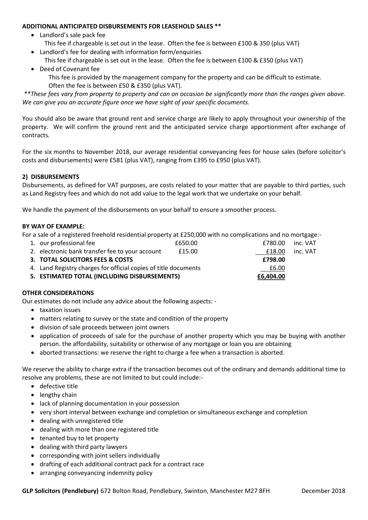#### **ADDITIONAL ANTICIPATED DISBURSEMENTS FOR LEASEHOLD SALES \*\***

- Landlord's sale pack fee
- This fee if chargeable is set out in the lease. Often the fee is between £100 & 350 (plus VAT)
- Landlord's fee for dealing with information form/enquiries This fee if chargeable is set out in the lease. Often the fee is between £100 & £350 (plus VAT)
- Deed of Covenant fee

This fee is provided by the management company for the property and can be difficult to estimate. Often the fee is between £50 & £350 (plus VAT).

*\*\*These fees vary from property to property and can on occasion be significantly more than the ranges given above. We can give you an accurate figure once we have sight of your specific documents.*

You should also be aware that ground rent and service charge are likely to apply throughout your ownership of the property. We will confirm the ground rent and the anticipated service charge apportionment after exchange of contracts.

For the six months to November 2018, our average residential conveyancing fees for house sales (before solicitor's costs and disbursements) were £581 (plus VAT), ranging from £395 to £950 (plus VAT).

## **2) DISBURSEMENTS**

Disbursements, as defined for VAT purposes, are costs related to your matter that are payable to third parties, such as Land Registry fees and which do not add value to the legal work that we undertake on your behalf.

We handle the payment of the disbursements on your behalf to ensure a smoother process.

### **BY WAY OF EXAMPLE:**

For a sale of a registered freehold residential property at £250,000 with no complications and no mortgage:-

| 5. ESTIMATED TOTAL (INCLUDING DISBURSEMENTS)                    | £6,404.00 |         |          |
|-----------------------------------------------------------------|-----------|---------|----------|
| 4. Land Registry charges for official copies of title documents |           | £6.00   |          |
| 3. TOTAL SOLICITORS FEES & COSTS                                |           | £798.00 |          |
| 2. electronic bank transfer fee to your account                 | £15.00    | £18.00  | inc. VAT |
| 1. our professional fee                                         | £650.00   | £780.00 | inc. VAT |

## **OTHER CONSIDERATIONS**

Our estimates do not include any advice about the following aspects: -

- taxation issues
- matters relating to survey or the state and condition of the property
- division of sale proceeds between joint owners
- application of proceeds of sale for the purchase of another property which you may be buying with another person. the affordability, suitability or otherwise of any mortgage or loan you are obtaining
- aborted transactions: we reserve the right to charge a fee when a transaction is aborted.

We reserve the ability to charge extra if the transaction becomes out of the ordinary and demands additional time to resolve any problems, these are not limited to but could include:-

- defective title
- lengthy chain
- lack of planning documentation in your possession
- very short interval between exchange and completion or simultaneous exchange and completion
- dealing with unregistered title
- dealing with more than one registered title
- tenanted buy to let property
- dealing with third party lawyers
- corresponding with joint sellers individually
- drafting of each additional contract pack for a contract race
- arranging conveyancing indemnity policy

**GLP Solicitors (Pendlebury)** 672 Bolton Road, Pendlebury, Swinton, Manchester M27 8FH December 2018